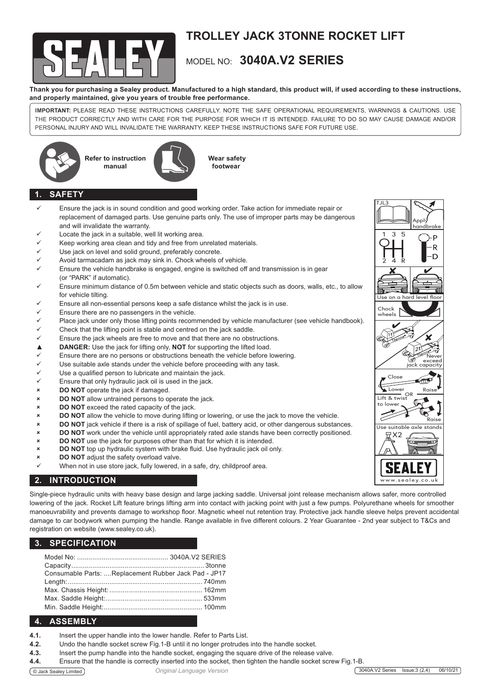

# **TROLLEY JACK 3TONNE ROCKET LIFT**

## MODEL NO: **3040A.V2 SERIES**

**Thank you for purchasing a Sealey product. Manufactured to a high standard, this product will, if used according to these instructions, and properly maintained, give you years of trouble free performance.**

**IMPORTANT:** PLEASE READ THESE INSTRUCTIONS CAREFULLY. NOTE THE SAFE OPERATIONAL REQUIREMENTS, WARNINGS & CAUTIONS. USE THE PRODUCT CORRECTLY AND WITH CARE FOR THE PURPOSE FOR WHICH IT IS INTENDED. FAILURE TO DO SO MAY CAUSE DAMAGE AND/OR PERSONAL INJURY AND WILL INVALIDATE THE WARRANTY. KEEP THESE INSTRUCTIONS SAFE FOR FUTURE USE.







**footwear**

## **1. SAFETY**

- Ensure the jack is in sound condition and good working order. Take action for immediate repair or replacement of damaged parts. Use genuine parts only. The use of improper parts may be dangerous and will invalidate the warranty.
- Locate the jack in a suitable, well lit working area.
- Keep working area clean and tidy and free from unrelated materials.
- Use jack on level and solid ground, preferably concrete.
- Avoid tarmacadam as jack may sink in. Chock wheels of vehicle.
- Ensure the vehicle handbrake is engaged, engine is switched off and transmission is in gear (or "PARK" if automatic).
- Ensure minimum distance of 0.5m between vehicle and static objects such as doors, walls, etc., to allow for vehicle tilting.
- Ensure all non-essential persons keep a safe distance whilst the jack is in use.
- Ensure there are no passengers in the vehicle.
- Place jack under only those lifting points recommended by vehicle manufacturer (see vehicle handbook).
- Check that the lifting point is stable and centred on the jack saddle.
- Ensure the jack wheels are free to move and that there are no obstructions.
- ▲ **DANGER:** Use the jack for lifting only, **NOT** for supporting the lifted load.<br>
<del>△</del> Ensure there are no persons or obstructions beneath the vehicle before **li**
- Ensure there are no persons or obstructions beneath the vehicle before lowering.
- Use suitable axle stands under the vehicle before proceeding with any task.
- Use a qualified person to lubricate and maintain the jack.
- Ensure that only hydraulic jack oil is used in the jack.
- **x DO NOT** operate the jack if damaged.
- 8 **DO NOT** allow untrained persons to operate the jack.
- $\times$  **DO NOT** exceed the rated capacity of the jack.
- 8 **DO NOT** allow the vehicle to move during lifting or lowering, or use the jack to move the vehicle.
- 8 **DO NOT** jack vehicle if there is a risk of spillage of fuel, battery acid, or other dangerous substances.
- **DO NOT** work under the vehicle until appropriately rated axle stands have been correctly positioned.
- **8 BO NOT** use the jack for purposes other than that for which it is intended.
- 8 **DO NOT** top up hydraulic system with brake fluid. Use hydraulic jack oil only.
- **EXECUTE: DO NOT** adjust the safety overload valve.
- When not in use store jack, fully lowered, in a safe, dry, childproof area.

## **2. INTRODUCTION**

Single-piece hydraulic units with heavy base design and large jacking saddle. Universal joint release mechanism allows safer, more controlled lowering of the jack. Rocket Lift feature brings lifting arm into contact with jacking point with just a few pumps. Polyurethane wheels for smoother manoeuvrability and prevents damage to workshop floor. Magnetic wheel nut retention tray. Protective jack handle sleeve helps prevent accidental damage to car bodywork when pumping the handle. Range available in five different colours. 2 Year Guarantee - 2nd year subject to T&Cs and registration on website (www.sealey.co.uk).

#### **3. SPECIFICATION**

| Consumable Parts:  Replacement Rubber Jack Pad - JP17 |
|-------------------------------------------------------|
|                                                       |
|                                                       |
|                                                       |
|                                                       |
|                                                       |

### **4. ASSEMBLY** ASSEMBLY

- **4.1.** Insert the upper handle into the lower handle. Refer to Parts List.
- **4.2.** Undo the handle socket screw Fig.1-B until it no longer protrudes into the handle socket.
- **4.3.** Insert the pump handle into the handle socket, engaging the square drive of the release valve.
- **4.4.** Ensure that the handle is correctly inserted into the socket, then tighten the handle socket screw Fig.1-B.